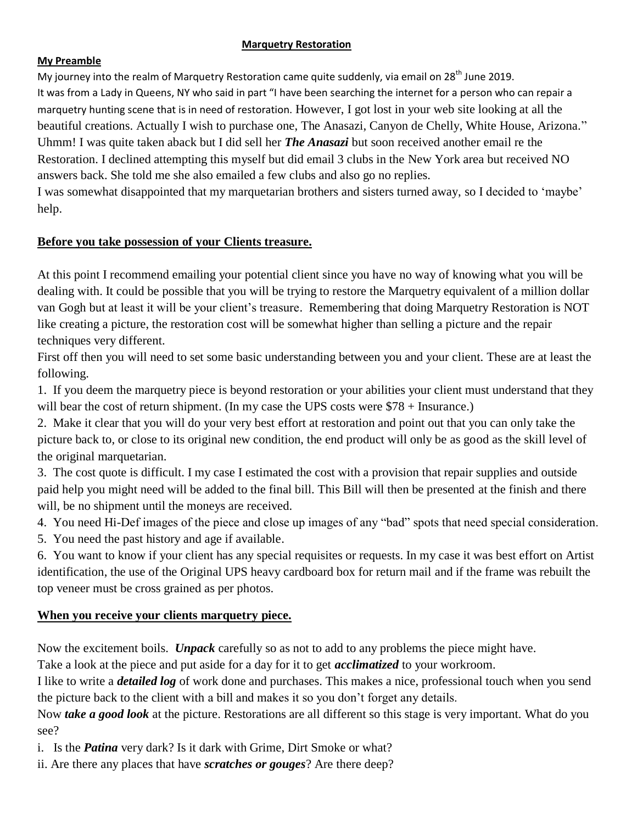#### **Marquetry Restoration**

#### **My Preamble**

My journey into the realm of Marquetry Restoration came quite suddenly, via email on 28<sup>th</sup> June 2019. It was from a Lady in Queens, NY who said in part "I have been searching the internet for a person who can repair a marquetry hunting scene that is in need of restoration. However, I got lost in your web site looking at all the beautiful creations. Actually I wish to purchase one, The Anasazi, Canyon de Chelly, White House, Arizona." Uhmm! I was quite taken aback but I did sell her *The Anasazi* but soon received another email re the Restoration. I declined attempting this myself but did email 3 clubs in the New York area but received NO answers back. She told me she also emailed a few clubs and also go no replies.

I was somewhat disappointed that my marquetarian brothers and sisters turned away, so I decided to 'maybe' help.

#### **Before you take possession of your Clients treasure.**

At this point I recommend emailing your potential client since you have no way of knowing what you will be dealing with. It could be possible that you will be trying to restore the Marquetry equivalent of a million dollar van Gogh but at least it will be your client's treasure. Remembering that doing Marquetry Restoration is NOT like creating a picture, the restoration cost will be somewhat higher than selling a picture and the repair techniques very different.

First off then you will need to set some basic understanding between you and your client. These are at least the following.

1. If you deem the marquetry piece is beyond restoration or your abilities your client must understand that they will bear the cost of return shipment. (In my case the UPS costs were  $$78 + Insurance.$ )

2. Make it clear that you will do your very best effort at restoration and point out that you can only take the picture back to, or close to its original new condition, the end product will only be as good as the skill level of the original marquetarian.

3. The cost quote is difficult. I my case I estimated the cost with a provision that repair supplies and outside paid help you might need will be added to the final bill. This Bill will then be presented at the finish and there will, be no shipment until the moneys are received.

4. You need Hi-Def images of the piece and close up images of any "bad" spots that need special consideration.

5. You need the past history and age if available.

6. You want to know if your client has any special requisites or requests. In my case it was best effort on Artist identification, the use of the Original UPS heavy cardboard box for return mail and if the frame was rebuilt the top veneer must be cross grained as per photos.

#### **When you receive your clients marquetry piece.**

Now the excitement boils. *Unpack* carefully so as not to add to any problems the piece might have.

Take a look at the piece and put aside for a day for it to get *acclimatized* to your workroom.

I like to write a *detailed log* of work done and purchases. This makes a nice, professional touch when you send the picture back to the client with a bill and makes it so you don't forget any details.

Now *take a good look* at the picture. Restorations are all different so this stage is very important. What do you see?

i. Is the *Patina* very dark? Is it dark with Grime, Dirt Smoke or what?

ii. Are there any places that have *scratches or gouges*? Are there deep?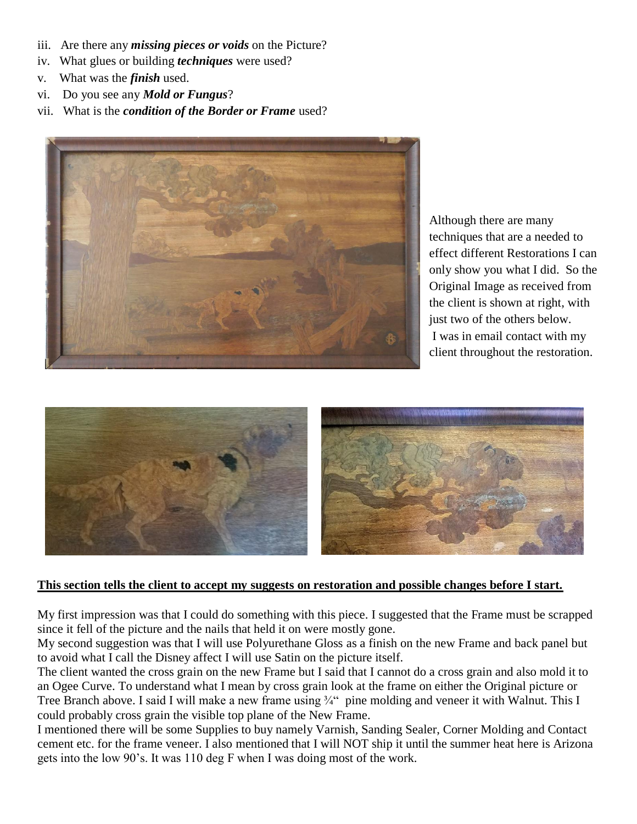- iii. Are there any *missing pieces or voids* on the Picture?
- iv. What glues or building *techniques* were used?
- v. What was the *finish* used.
- vi. Do you see any *Mold or Fungus*?
- vii. What is the *condition of the Border or Frame* used?



Although there are many techniques that are a needed to effect different Restorations I can only show you what I did. So the Original Image as received from the client is shown at right, with just two of the others below. I was in email contact with my client throughout the restoration.



#### **This section tells the client to accept my suggests on restoration and possible changes before I start.**

My first impression was that I could do something with this piece. I suggested that the Frame must be scrapped since it fell of the picture and the nails that held it on were mostly gone.

My second suggestion was that I will use Polyurethane Gloss as a finish on the new Frame and back panel but to avoid what I call the Disney affect I will use Satin on the picture itself.

The client wanted the cross grain on the new Frame but I said that I cannot do a cross grain and also mold it to an Ogee Curve. To understand what I mean by cross grain look at the frame on either the Original picture or Tree Branch above. I said I will make a new frame using ¼" pine molding and veneer it with Walnut. This I could probably cross grain the visible top plane of the New Frame.

I mentioned there will be some Supplies to buy namely Varnish, Sanding Sealer, Corner Molding and Contact cement etc. for the frame veneer. I also mentioned that I will NOT ship it until the summer heat here is Arizona gets into the low 90's. It was 110 deg F when I was doing most of the work.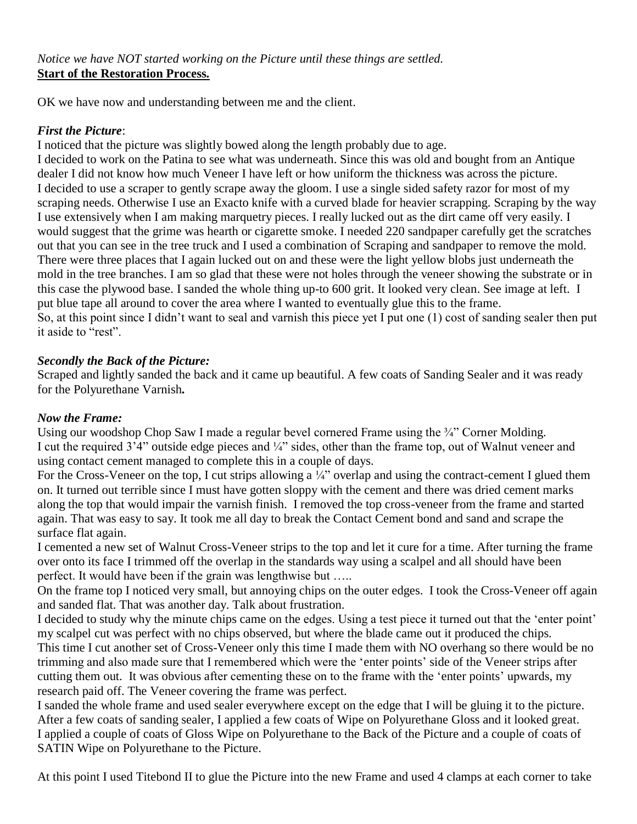OK we have now and understanding between me and the client.

## *First the Picture*:

I noticed that the picture was slightly bowed along the length probably due to age.

I decided to work on the Patina to see what was underneath. Since this was old and bought from an Antique dealer I did not know how much Veneer I have left or how uniform the thickness was across the picture. I decided to use a scraper to gently scrape away the gloom. I use a single sided safety razor for most of my scraping needs. Otherwise I use an Exacto knife with a curved blade for heavier scrapping. Scraping by the way I use extensively when I am making marquetry pieces. I really lucked out as the dirt came off very easily. I would suggest that the grime was hearth or cigarette smoke. I needed 220 sandpaper carefully get the scratches out that you can see in the tree truck and I used a combination of Scraping and sandpaper to remove the mold. There were three places that I again lucked out on and these were the light yellow blobs just underneath the mold in the tree branches. I am so glad that these were not holes through the veneer showing the substrate or in this case the plywood base. I sanded the whole thing up-to 600 grit. It looked very clean. See image at left. I put blue tape all around to cover the area where I wanted to eventually glue this to the frame. So, at this point since I didn't want to seal and varnish this piece yet I put one (1) cost of sanding sealer then put it aside to "rest".

# *Secondly the Back of the Picture:*

Scraped and lightly sanded the back and it came up beautiful. A few coats of Sanding Sealer and it was ready for the Polyurethane Varnish*.*

## *Now the Frame:*

Using our woodshop Chop Saw I made a regular bevel cornered Frame using the  $\frac{3}{4}$ " Corner Molding. I cut the required  $3'4''$  outside edge pieces and  $\frac{1}{4}$ " sides, other than the frame top, out of Walnut veneer and using contact cement managed to complete this in a couple of days.

For the Cross-Veneer on the top, I cut strips allowing a ¼" overlap and using the contract-cement I glued them on. It turned out terrible since I must have gotten sloppy with the cement and there was dried cement marks along the top that would impair the varnish finish. I removed the top cross-veneer from the frame and started again. That was easy to say. It took me all day to break the Contact Cement bond and sand and scrape the surface flat again.

I cemented a new set of Walnut Cross-Veneer strips to the top and let it cure for a time. After turning the frame over onto its face I trimmed off the overlap in the standards way using a scalpel and all should have been perfect. It would have been if the grain was lengthwise but …..

On the frame top I noticed very small, but annoying chips on the outer edges. I took the Cross-Veneer off again and sanded flat. That was another day. Talk about frustration.

I decided to study why the minute chips came on the edges. Using a test piece it turned out that the 'enter point' my scalpel cut was perfect with no chips observed, but where the blade came out it produced the chips. This time I cut another set of Cross-Veneer only this time I made them with NO overhang so there would be no trimming and also made sure that I remembered which were the 'enter points' side of the Veneer strips after cutting them out. It was obvious after cementing these on to the frame with the 'enter points' upwards, my research paid off. The Veneer covering the frame was perfect.

I sanded the whole frame and used sealer everywhere except on the edge that I will be gluing it to the picture. After a few coats of sanding sealer, I applied a few coats of Wipe on Polyurethane Gloss and it looked great. I applied a couple of coats of Gloss Wipe on Polyurethane to the Back of the Picture and a couple of coats of SATIN Wipe on Polyurethane to the Picture.

At this point I used Titebond II to glue the Picture into the new Frame and used 4 clamps at each corner to take